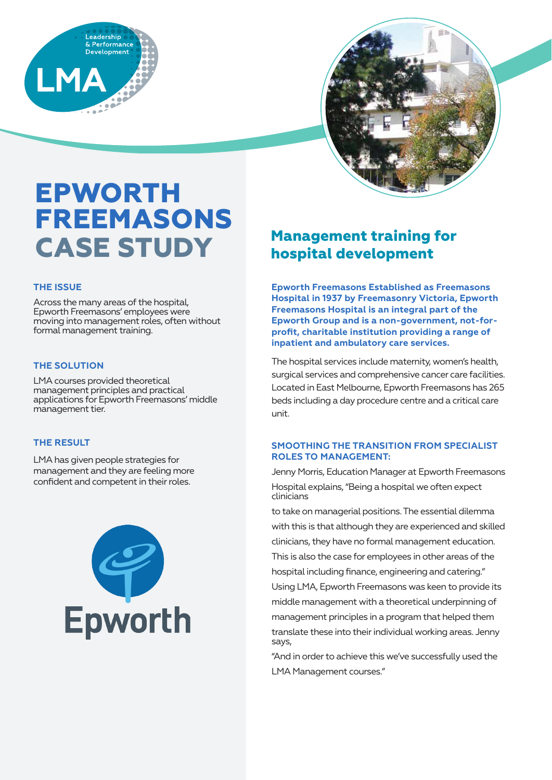



# **EPWORTH FREEMASONS CASE STUDY**

### **THE ISSUE**

Across the many areas of the hospital, Epworth Freemasons' employees were moving into management roles, often without formal management training.

### **THE SOLUTION**

LMA courses provided theoretical management principles and practical applications for Epworth Freemasons' middle management tier.

### **THE RESULT**

LMA has given people strategies for management and they are feeling more confident and competent in their roles.



## **Management training for hospital development**

**Epworth Freemasons Established as Freemasons Hospital in 1937 by Freemasonry Victoria, Epworth Freemasons Hospital is an integral part of the Epworth Group and is a non-government, not-forprofit, charitable institution providing a range of inpatient and ambulatory care services.**

The hospital services include maternity, women's health, surgical services and comprehensive cancer care facilities. Located in East Melbourne, Epworth Freemasons has 265 beds including a day procedure centre and a critical care unit.

### **SMOOTHING THE TRANSITION FROM SPECIALIST ROLES TO MANAGEMENT:**

Jenny Morris, Education Manager at Epworth Freemasons Hospital explains, "Being a hospital we often expect clinicians

to take on managerial positions. The essential dilemma with this is that although they are experienced and skilled clinicians, they have no formal management education. This is also the case for employees in other areas of the hospital including finance, engineering and catering." Using LMA, Epworth Freemasons was keen to provide its middle management with a theoretical underpinning of management principles in a program that helped them translate these into their individual working areas. Jenny says,

"And in order to achieve this we've successfully used the LMA Management courses."